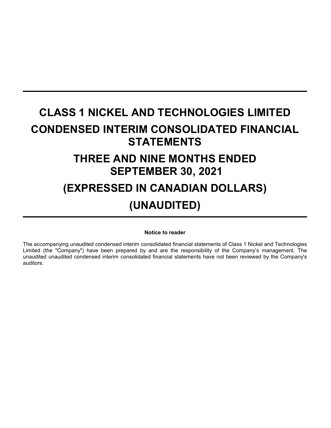# **CLASS 1 NICKEL AND TECHNOLOGIES LIMITED CONDENSED INTERIM CONSOLIDATED FINANCIAL STATEMENTS THREE AND NINE MONTHS ENDED SEPTEMBER 30, 2021 (EXPRESSED IN CANADIAN DOLLARS) (UNAUDITED)**

#### **Notice to reader**

The accompanying unaudited condensed interim consolidated financial statements of Class 1 Nickel and Technologies Limited (the "Company") have been prepared by and are the responsibility of the Company's management. The unaudited unaudited condensed interim consolidated financial statements have not been reviewed by the Company's auditors.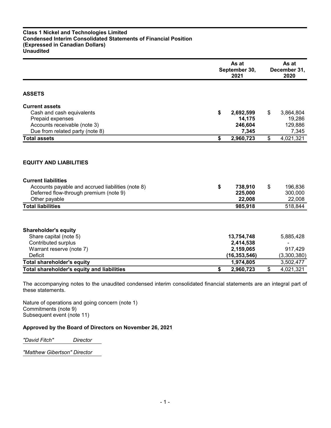## **Class 1 Nickel and Technologies Limited Condensed Interim Consolidated Statements of Financial Position (Expressed in Canadian Dollars) Unaudited**

|                                                                                                                                                                                                         | As at<br>September 30,<br>2021 |                                                        | As at<br>December 31,<br>2020 |                                         |  |
|---------------------------------------------------------------------------------------------------------------------------------------------------------------------------------------------------------|--------------------------------|--------------------------------------------------------|-------------------------------|-----------------------------------------|--|
| <b>ASSETS</b>                                                                                                                                                                                           |                                |                                                        |                               |                                         |  |
| <b>Current assets</b>                                                                                                                                                                                   |                                |                                                        |                               |                                         |  |
| Cash and cash equivalents                                                                                                                                                                               | \$                             | 2,692,599                                              | \$                            | 3,864,804                               |  |
| Prepaid expenses                                                                                                                                                                                        |                                | 14,175                                                 |                               | 19,286                                  |  |
| Accounts receivable (note 3)                                                                                                                                                                            |                                | 246,604                                                |                               | 129,886                                 |  |
| Due from related party (note 8)                                                                                                                                                                         |                                | 7,345                                                  |                               | 7,345                                   |  |
| <b>Total assets</b>                                                                                                                                                                                     | \$                             | 2,960,723                                              | \$                            | 4,021,321                               |  |
| <b>EQUITY AND LIABILITIES</b><br><b>Current liabilities</b><br>Accounts payable and accrued liabilities (note 8)<br>Deferred flow-through premium (note 9)<br>Other payable<br><b>Total liabilities</b> | \$                             | 738,910<br>225,000<br>22,008<br>985,918                | \$                            | 196,836<br>300,000<br>22,008<br>518,844 |  |
| <b>Shareholder's equity</b><br>Share capital (note 5)<br><b>Contributed surplus</b><br>Warrant reserve (note 7)<br><b>Deficit</b>                                                                       |                                | 13,754,748<br>2,414,538<br>2,159,065<br>(16, 353, 546) |                               | 5,885,428<br>917,429<br>(3,300,380)     |  |
| <b>Total shareholder's equity</b>                                                                                                                                                                       |                                | 1,974,805                                              |                               | 3,502,477                               |  |
| <b>Total shareholder's equity and liabilities</b>                                                                                                                                                       | \$                             | 2,960,723                                              | \$                            | 4,021,321                               |  |

The accompanying notes to the unaudited condensed interim consolidated financial statements are an integral part of these statements.

Nature of operations and going concern (note 1) Commitments (note 9) Subsequent event (note 11)

# **Approved by the Board of Directors on November 26, 2021**

*"David Fitch" Director*

*"Matthew Gibertson" Director*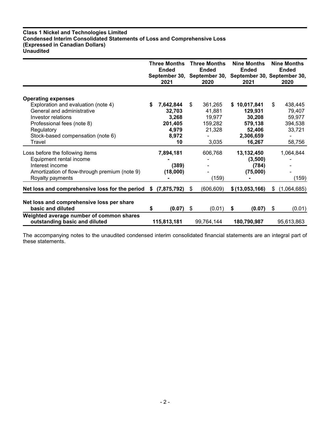#### **Class 1 Nickel and Technologies Limited Condensed Interim Consolidated Statements of Loss and Comprehensive Loss (Expressed in Canadian Dollars) Unaudited**

|                                                                                                                                                                                                                 | <b>Three Months</b><br><b>Ended</b><br>2021 |                                                                 | <b>Three Months</b><br><b>Ended</b><br>September 30, September 30,<br>2020 |                                                           | <b>Nine Months</b><br><b>Ended</b><br>September 30, September 30,<br>2021 |                                                                               | <b>Nine Months</b><br><b>Ended</b><br>2020                       |
|-----------------------------------------------------------------------------------------------------------------------------------------------------------------------------------------------------------------|---------------------------------------------|-----------------------------------------------------------------|----------------------------------------------------------------------------|-----------------------------------------------------------|---------------------------------------------------------------------------|-------------------------------------------------------------------------------|------------------------------------------------------------------|
| <b>Operating expenses</b><br>Exploration and evaluation (note 4)<br>General and administrative<br>Investor relations<br>Professional fees (note 8)<br>Regulatory<br>Stock-based compensation (note 6)<br>Travel |                                             | 7,642,844<br>32,703<br>3,268<br>201,405<br>4,979<br>8,972<br>10 | \$                                                                         | 361,265<br>41,881<br>19,977<br>159,282<br>21,328<br>3,035 |                                                                           | \$10,017,841<br>129,931<br>30,208<br>579,138<br>52,406<br>2,306,659<br>16,267 | \$<br>438,445<br>79,407<br>59,977<br>394,538<br>33,721<br>58,756 |
| Loss before the following items<br>Equipment rental income<br>Interest income<br>Amortization of flow-through premium (note 9)<br>Royalty payments                                                              |                                             | 7,894,181<br>(389)<br>(18,000)                                  |                                                                            | 606,768<br>(159)                                          |                                                                           | 13,132,450<br>(3,500)<br>(784)<br>(75,000)                                    | 1,064,844<br>(159)                                               |
| Net loss and comprehensive loss for the period<br>Net loss and comprehensive loss per share                                                                                                                     | S.                                          | (7,875,792)                                                     | \$                                                                         | (606, 609)                                                |                                                                           | \$(13,053,166)                                                                | \$<br>(1,064,685)                                                |
| basic and diluted<br>Weighted average number of common shares<br>outstanding basic and diluted                                                                                                                  | S                                           | (0.07)<br>115,813,181                                           | \$                                                                         | (0.01)<br>99,764,144                                      | \$                                                                        | (0.07)<br>180,790,987                                                         | \$<br>(0.01)<br>95,613,863                                       |

The accompanying notes to the unaudited condensed interim consolidated financial statements are an integral part of these statements.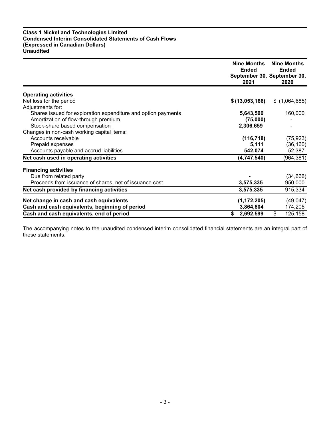## **Class 1 Nickel and Technologies Limited Condensed Interim Consolidated Statements of Cash Flows (Expressed in Canadian Dollars) Unaudited**

|                                                                                   | <b>Nine Months</b><br><b>Ended</b><br>2021 | <b>Nine Months</b><br><b>Ended</b><br>September 30, September 30,<br>2020 |
|-----------------------------------------------------------------------------------|--------------------------------------------|---------------------------------------------------------------------------|
| <b>Operating activities</b>                                                       |                                            |                                                                           |
| Net loss for the period                                                           | \$(13,053,166)                             | \$(1,064,685)                                                             |
|                                                                                   |                                            |                                                                           |
| Adjustments for:<br>Shares issued for exploration expenditure and option payments | 5,643,500                                  | 160,000                                                                   |
| Amortization of flow-through premium                                              | (75,000)                                   |                                                                           |
| Stock-share based compensation                                                    | 2,306,659                                  |                                                                           |
| Changes in non-cash working capital items:                                        |                                            |                                                                           |
| Accounts receivable                                                               |                                            |                                                                           |
|                                                                                   | (116, 718)                                 | (75, 923)                                                                 |
| Prepaid expenses                                                                  | 5,111                                      | (36, 160)                                                                 |
| Accounts payable and accrud liabilities                                           | 542,074                                    | 52,387                                                                    |
| Net cash used in operating activities                                             | (4,747,540)                                | (964, 381)                                                                |
| <b>Financing activities</b>                                                       |                                            |                                                                           |
| Due from related party                                                            |                                            | (34, 666)                                                                 |
| Proceeds from issuance of shares, net of issuance cost                            | 3,575,335                                  | 950,000                                                                   |
| Net cash provided by financing activities                                         | 3,575,335                                  | 915,334                                                                   |
| Net change in cash and cash equivalents                                           | (1, 172, 205)                              | (49, 047)                                                                 |
| Cash and cash equivalents, beginning of period                                    | 3,864,804                                  | 174,205                                                                   |
| Cash and cash equivalents, end of period                                          | 2,692,599<br>\$                            | \$<br>125,158                                                             |

The accompanying notes to the unaudited condensed interim consolidated financial statements are an integral part of these statements.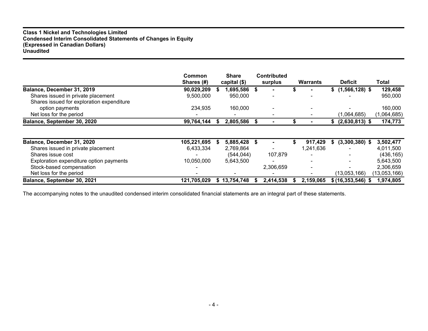## **Class 1 Nickel and Technologies Limited Condensed Interim Consolidated Statements of Changes in Equity (Expressed in Canadian Dollars) Unaudited**

|                                           | <b>Common</b><br>Shares (#) | <b>Share</b><br>capital (\$) | <b>Contributed</b><br>surplus |   | Warrants                 |    | <b>Deficit</b>      | Total        |
|-------------------------------------------|-----------------------------|------------------------------|-------------------------------|---|--------------------------|----|---------------------|--------------|
| Balance, December 31, 2019                | 90,029,209                  | 1,695,586 \$                 |                               |   |                          |    | \$(1, 566, 128)     | 129,458      |
| Shares issued in private placement        | 9,500,000                   | 950,000                      |                               |   |                          |    |                     | 950,000      |
| Shares issued for exploration expenditure |                             |                              |                               |   |                          |    |                     |              |
| option payments                           | 234,935                     | 160,000                      |                               |   |                          |    |                     | 160,000      |
| Net loss for the period                   |                             |                              |                               |   |                          |    | (1,064,685)         | (1,064,685)  |
| Balance, September 30, 2020               | 99,764,144                  | 2,805,586 \$                 |                               |   |                          |    | $(2,630,813)$ \$    | 174,773      |
|                                           |                             |                              |                               |   |                          |    |                     |              |
| Balance, December 31, 2020                | 105,221,695                 | 5,885,428 \$                 |                               |   | 917,429                  | S. | $(3,300,380)$ \$    | 3,502,477    |
| Shares issued in private placement        | 6,433,334                   | 2,769,864                    |                               |   | 1,241,636                |    |                     | 4,011,500    |
| Shares issue cost                         |                             | (544, 044)                   | 107,879                       |   |                          |    |                     | (436, 165)   |
| Exploration expenditure option payments   | 10,050,000                  | 5,643,500                    |                               |   |                          |    |                     | 5,643,500    |
| Stock-based compensation                  |                             |                              | 2,306,659                     |   | $\overline{\phantom{0}}$ |    |                     | 2,306,659    |
| Net loss for the period                   |                             |                              |                               |   |                          |    | (13,053,166)        | (13,053,166) |
| Balance, September 30, 2021               | 121,705,029                 | \$13,754,748                 | 2,414,538                     | ъ | 2,159,065                |    | $$ (16,353,546)$ \$ | 1,974,805    |

The accompanying notes to the unaudited condensed interim consolidated financial statements are an integral part of these statements.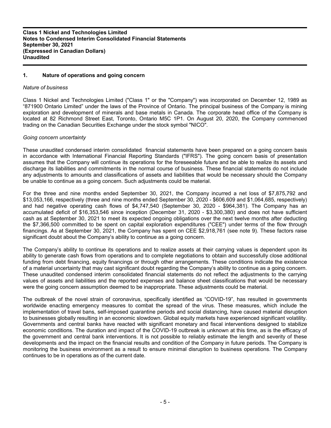# **1. Nature of operations and going concern**

#### *Nature of business*

Class 1 Nickel and Technologies Limited ("Class 1" or the "Company") was incorporated on December 12, 1989 as "871900 Ontario Limited" under the laws of the Province of Ontario. The principal business of the Company is mining exploration and development of minerals and base metals in Canada. The corporate head office of the Company is located at 82 Richmond Street East, Toronto, Ontario M5C 1P1. On August 20, 2020, the Company commenced trading on the Canadian Securities Exchange under the stock symbol "NICO".

#### *Going concern uncertainty*

These unaudited condensed interim consolidated financial statements have been prepared on a going concern basis in accordance with International Financial Reporting Standards ("IFRS"). The going concern basis of presentation assumes that the Company will continue its operations for the foreseeable future and be able to realize its assets and discharge its liabilities and commitments in the normal course of business. These financial statements do not include any adjustments to amounts and classifications of assets and liabilities that would be necessary should the Company be unable to continue as a going concern. Such adjustments could be material.

For the three and nine months ended September 30, 2021, the Company incurred a net loss of \$7,875,792 and \$13,053,166, respectively (three and nine months ended September 30, 2020 - \$606,609 and \$1,064,685, respectively) and had negative operating cash flows of \$4,747,540 (September 30, 2020 - \$964,381). The Company has an accumulated deficit of \$16,353,546 since inception (December 31, 2020 - \$3,300,380) and does not have sufficient cash as at September 30, 2021 to meet its expected ongoing obligations over the next twelve months after deducting the \$7,366,500 committed to be spent on capital exploration expenditures ("CEE") under terms of the flow through financings. As at September 30, 2021, the Company has spent on CEE \$2,918,761 (see note 9). These factors raise significant doubt about the Company's ability to continue as a going concern.

The Company's ability to continue its operations and to realize assets at their carrying values is dependent upon its ability to generate cash flows from operations and to complete negotiations to obtain and successfully close additional funding from debt financing, equity financings or through other arrangements. These conditions indicate the existence of a material uncertainty that may cast significant doubt regarding the Company's ability to continue as a going concern. These unaudited condensed interim consolidated financial statements do not reflect the adjustments to the carrying values of assets and liabilities and the reported expenses and balance sheet classifications that would be necessary were the going concern assumption deemed to be inappropriate. These adjustments could be material.

The outbreak of the novel strain of coronavirus, specifically identified as "COVID-19", has resulted in governments worldwide enacting emergency measures to combat the spread of the virus. These measures, which include the implementation of travel bans, self-imposed quarantine periods and social distancing, have caused material disruption to businesses globally resulting in an economic slowdown. Global equity markets have experienced significant volatility. Governments and central banks have reacted with significant monetary and fiscal interventions designed to stabilize economic conditions. The duration and impact of the COVID-19 outbreak is unknown at this time, as is the efficacy of the government and central bank interventions. It is not possible to reliably estimate the length and severity of these developments and the impact on the financial results and condition of the Company in future periods. The Company is monitoring the business environment as a result to ensure minimal disruption to business operations. The Company continues to be in operations as of the current date.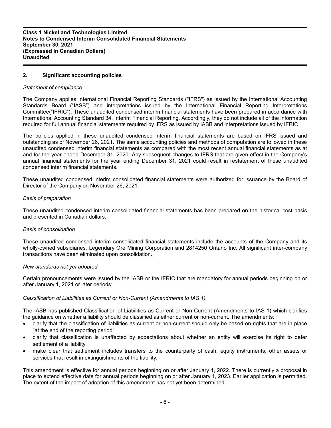# **2. Significant accounting policies**

#### *Statement of compliance*

The Company applies International Financial Reporting Standards ("IFRS") as issued by the International Accounting Standards Board ("IASB") and interpretations issued by the International Financial Reporting Interpretations Committee("IFRIC"). These unaudited condensed interim financial statements have been prepared in accordance with International Accounting Standard 34, Interim Financial Reporting. Accordingly, they do not include all of the information required for full annual financial statements required by IFRS as issued by IASB and interpretations issued by IFRIC.

The policies applied in these unaudited condensed interim financial statements are based on IFRS issued and outstanding as of November 26, 2021. The same accounting policies and methods of computation are followed in these unaudited condensed interim financial statements as compared with the most recent annual financial statements as at and for the year ended December 31, 2020. Any subsequent changes to IFRS that are given effect in the Company's annual financial statements for the year ending December 31, 2021 could result in restatement of these unaudited condensed interim financial statements.

These unaudited condensed interim consolidated financial statements were authorized for issuance by the Board of Director of the Company on November 26, 2021.

#### *Basis of preparation*

These unaudited condensed interim consolidated financial statements has been prepared on the historical cost basis and presented in Canadian dollars.

## *Basis of consolidation*

These unaudited condensed interim consolidated financial statements include the accounts of the Company and its wholly-owned subsidiaries, Legendary Ore Mining Corporation and 2814250 Ontario Inc. All significant inter-company transactions have been eliminated upon consolidation.

#### *New standards not yet adopted*

Certain pronouncements were issued by the IASB or the IFRIC that are mandatory for annual periods beginning on or after January 1, 2021 or later periods:

## *Classification of Liabilities as Current or Non-Current (Amendments to IAS 1)*

The IASB has published Classification of Liabilities as Current or Non-Current (Amendments to IAS 1) which clarifies the guidance on whether a liability should be classified as either current or non-current. The amendments:

- clarify that the classification of liabilities as current or non-current should only be based on rights that are in place "at the end of the reporting period"
- clarify that classification is unaffected by expectations about whether an entity will exercise its right to defer settlement of a liability
- make clear that settlement includes transfers to the counterparty of cash, equity instruments, other assets or services that result in extinguishments of the liability.

This amendment is effective for annual periods beginning on or after January 1, 2022. There is currently a proposal in place to extend effective date for annual periods beginning on or after January 1, 2023. Earlier application is permitted. The extent of the impact of adoption of this amendment has not yet been determined.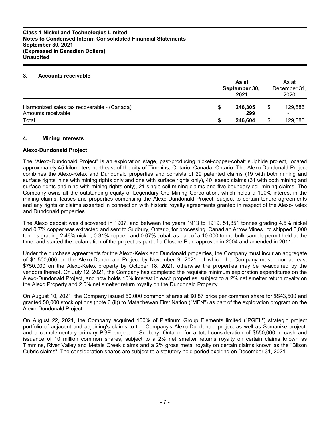## **3. Accounts receivable**

|                                                                   | As at<br>September 30,<br>2021 |                |  | As at<br>December 31,<br>2020       |
|-------------------------------------------------------------------|--------------------------------|----------------|--|-------------------------------------|
| Harmonized sales tax recoverable - (Canada)<br>Amounts receivable |                                | 246,305<br>299 |  | 129,886<br>$\overline{\phantom{0}}$ |
| Total                                                             |                                | 246.604        |  | 129,886                             |

## **4. Mining interests**

## **Alexo-Dundonald Project**

The "Alexo-Dundonald Project" is an exploration stage, past-producing nickel-copper-cobalt sulphide project, located approximately 45 kilometers northeast of the city of Timmins, Ontario, Canada. Ontario. The Alexo-Dundonald Project combines the Alexo-Kelex and Dundonald properties and consists of 29 patented claims (19 with both mining and surface rights, nine with mining rights only and one with surface rights only), 40 leased claims (31 with both mining and surface rights and nine with mining rights only), 21 single cell mining claims and five boundary cell mining claims. The Company owns all the outstanding equity of Legendary Ore Mining Corporation, which holds a 100% interest in the mining claims, leases and properties comprising the Alexo-Dundonald Project, subject to certain tenure agreements and any rights or claims asserted in connection with historic royalty agreements granted in respect of the Alexo-Kelex and Dundonald properties.

The Alexo deposit was discovered in 1907, and between the years 1913 to 1919, 51,851 tonnes grading 4.5% nickel and 0.7% copper was extracted and sent to Sudbury, Ontario, for processing. Canadian Arrow Mines Ltd shipped 6,000 tonnes grading 2.46% nickel, 0.31% copper, and 0.07% cobalt as part of a 10,000 tonne bulk sample permit held at the time, and started the reclamation of the project as part of a Closure Plan approved in 2004 and amended in 2011.

Under the purchase agreements for the Alexo-Kelex and Dundonald properties, the Company must incur an aggregate of \$1,500,000 on the Alexo-Dundonald Project by November 9, 2021, of which the Company must incur at least \$750,000 on the Alexo-Kelex property by October 18, 2021, otherwise the properties may be re-acquired by the vendors thereof. On July 12, 2021, the Company has completed the requisite minimum exploration expenditures on the Alexo-Dundonald Project, and now holds 10% interest in each properties, subject to a 2% net smelter return royalty on the Alexo Property and 2.5% net smelter return royalty on the Dundonald Property.

On August 10, 2021, the Company issued 50,000 common shares at \$0.87 price per common share for \$\$43,500 and granted 50,000 stock options (note 6 (ii)) to Matachewan First Nation ("MFN") as part of the exploration program on the Alexo-Dundonald Project.

On August 22, 2021, the Company acquired 100% of Platinum Group Elements limited ("PGEL") strategic project portfolio of adjacent and adjoining's claims to the Company's Alexo-Dundonald project as well as Somanike project, and a complementary primary PGE project in Sudbury, Ontario, for a total consideration of \$550,000 in cash and issuance of 10 million common shares, subject to a 2% net smelter returns royalty on certain claims known as Timmins, River Valley and Metals Creek claims and a 2% gross metal royalty on certain claims known as the "Bilson Cubric claims". The consideration shares are subject to a statutory hold period expiring on December 31, 2021.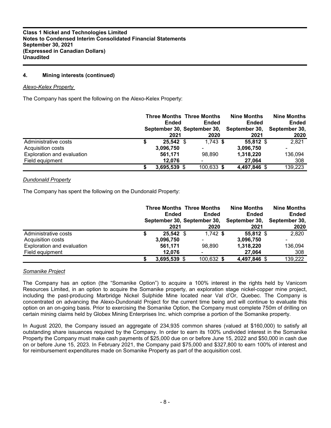# **4. Mining interests (continued)**

## *Alexo-Kelex Property*

The Company has spent the following on the Alexo-Kelex Property:

|                                   | Ended        | <b>Three Months Three Months</b><br>Ended<br>September 30, September 30, | <b>Nine Months</b><br><b>Ended</b><br>September 30, | <b>Nine Months</b><br><b>Ended</b><br>September 30, |
|-----------------------------------|--------------|--------------------------------------------------------------------------|-----------------------------------------------------|-----------------------------------------------------|
|                                   | 2021         | 2020                                                                     | 2021                                                | 2020                                                |
| Administrative costs              | 25,542 \$    | $1,743$ \$                                                               | 55.812 \$                                           | 2,821                                               |
| Acquisition costs                 | 3,096,750    |                                                                          | 3,096,750                                           |                                                     |
| <b>Exploration and evaluation</b> | 561,171      | 98.890                                                                   | 1,318,220                                           | 136,094                                             |
| Field equipment                   | 12.076       |                                                                          | 27,064                                              | 308                                                 |
|                                   | 3,695,539 \$ | 100,633 \$                                                               | 4,497,846 \$                                        | 139,223                                             |

## *Dundonald Property*

The Company has spent the following on the Dundonald Property:

|                            | <b>Ended</b><br>2021 | <b>Three Months Three Months</b><br>Ended<br>September 30, September 30,<br>2020 | Nine Months<br><b>Ended</b><br>September 30,<br>2021 | <b>Nine Months</b><br><b>Ended</b><br>September 30,<br>2020 |
|----------------------------|----------------------|----------------------------------------------------------------------------------|------------------------------------------------------|-------------------------------------------------------------|
| Administrative costs       | \$<br>25,542 \$      | $1,742$ \$                                                                       | 55,812 \$                                            | 2,820                                                       |
| Acquisition costs          | 3,096,750            |                                                                                  | 3,096,750                                            |                                                             |
| Exploration and evaluation | 561,171              | 98.890                                                                           | 1,318,220                                            | 136,094                                                     |
| Field equipment            | 12.076               |                                                                                  | 27.064                                               | 308                                                         |
|                            | 3,695,539 \$         | 100,632 \$                                                                       | 4,497,846 \$                                         | 139,222                                                     |

## *Somanike Project*

The Company has an option (the "Somanike Option") to acquire a 100% interest in the rights held by Vanicom Resources Limited, in an option to acquire the Somanike property, an exploration stage nickel-copper mine project, including the past-producing Marbridge Nickel Sulphide Mine located near Val d'Or, Quebec. The Company is concentrated on advancing the Alexo-Dundonald Project for the current time being and will continue to evaluate this option on an on-going basis. Prior to exercising the Somanike Option, the Company must complete 750m of drilling on certain mining claims held by Globex Mining Enterprises Inc. which comprise a portion of the Somanike property.

In August 2020, the Company issued an aggregate of 234,935 common shares (valued at \$160,000) to satisfy all outstanding share issuances required by the Company. In order to earn its 100% undivided interest in the Somanike Property the Company must make cash payments of \$25,000 due on or before June 15, 2022 and \$50,000 in cash due on or before June 15, 2023. In February 2021, the Company paid \$75,000 and \$327,800 to earn 100% of interest and for reimbursement expenditures made on Somanike Property as part of the acquisition cost.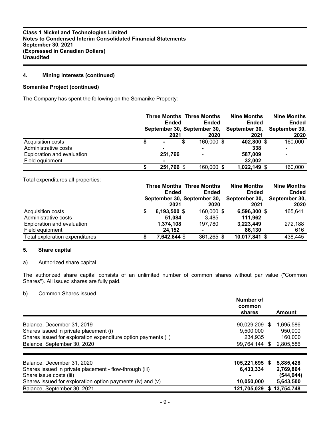# **4. Mining interests (continued)**

## **Somanike Project (continued)**

The Company has spent the following on the Somanike Property:

|                            |         | Ended      | <b>Three Months Three Months</b><br><b>Ended</b><br>September 30, September 30, | <b>Nine Months</b><br><b>Ended</b><br>September 30, | <b>Nine Months</b><br><b>Ended</b><br>September 30, |
|----------------------------|---------|------------|---------------------------------------------------------------------------------|-----------------------------------------------------|-----------------------------------------------------|
|                            |         | 2021       | 2020                                                                            | 2021                                                | 2020                                                |
| Acquisition costs          |         | S          | 160,000 \$                                                                      | 402,800 \$                                          | 160,000                                             |
| Administrative costs       |         |            |                                                                                 | 338                                                 |                                                     |
| Exploration and evaluation | 251,766 |            | ۰                                                                               | 587,009                                             |                                                     |
| Field equipment            |         |            | -                                                                               | 32.002                                              |                                                     |
|                            |         | 251,766 \$ | 160,000 \$                                                                      | 1,022,149 \$                                        | 160,000                                             |

Total expenditures all properties:

|                                |   |                | <b>Three Months Three Months</b> | <b>Nine Months</b> | <b>Nine Months</b> |
|--------------------------------|---|----------------|----------------------------------|--------------------|--------------------|
|                                |   | Ended          | Ended                            | <b>Ended</b>       | Ended              |
|                                |   |                | September 30, September 30,      | September 30,      | September 30,      |
|                                |   | 2021           | 2020                             | 2021               | 2020               |
| Acquisition costs              | S | $6,193,500$ \$ | 160,000 \$                       | 6,596,300 \$       | 165,641            |
| Administrative costs           |   | 51.084         | 3.485                            | 111.962            |                    |
| Exploration and evaluation     |   | 1,374,108      | 197.780                          | 3,223,449          | 272,188            |
| Field equipment                |   | 24.152         |                                  | 86.130             | 616                |
| Total exploration expenditures |   | 7,642,844 \$   | 361,265 \$                       | 10,017,841 \$      | 438,445            |

## **5. Share capital**

## a) Authorized share capital

The authorized share capital consists of an unlimited number of common shares without par value ("Common Shares"). All issued shares are fully paid.

# b) Common Shares issued

|                                                                | Number of<br>common<br>shares |      | Amount     |
|----------------------------------------------------------------|-------------------------------|------|------------|
| Balance, December 31, 2019                                     | 90,029,209 \$                 |      | 1,695,586  |
| Shares issued in private placement (i)                         | 9,500,000                     |      | 950,000    |
| Shares issued for exploration expenditure option payments (ii) | 234.935                       |      | 160,000    |
| Balance, September 30, 2020                                    | 99,764,144                    | - \$ | 2,805,586  |
| Balance, December 31, 2020                                     | 105,221,695 \$                |      | 5,885,428  |
| Shares issued in private placement - flow-through (iii)        | 6.433.334                     |      | 2,769,864  |
| Share issue costs (iii)                                        |                               |      | (544, 044) |
| Shares issued for exploration option payments (iv) and (v)     | 10,050,000                    |      | 5,643,500  |
| Balance, September 30, 2021                                    | 121,705,029                   |      | 13,754,748 |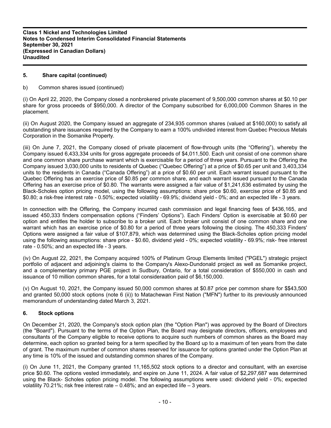# **5. Share capital (continued)**

## b) Common shares issued (continued)

(i) On April 22, 2020, the Company closed a nonbrokered private placement of 9,500,000 common shares at \$0.10 per share for gross proceeds of \$950,000. A director of the Company subscribed for 6,000,000 Common Shares in the placement.

(ii) On August 2020, the Company issued an aggregate of 234,935 common shares (valued at \$160,000) to satisfy all outstanding share issuances required by the Company to earn a 100% undivided interest from Quebec Precious Metals Corporation in the Somanike Property.

(iii) On June 7, 2021, the Company closed of private placement of flow-through units (the "Offering"), whereby the Company issued 6,433,334 units for gross aggregate proceeds of \$4,011,500. Each unit consist of one common share and one common share purchase warrant which is exercisable for a period of three years. Pursuant to the Offering the Company issued 3,030,000 units to residents of Quebec ("Quebec Offering") at a price of \$0.65 per unit and 3,403,334 units to the residents in Canada ("Canada Offering") at a price of \$0.60 per unit. Each warrant issued pursuant to the Quebec Offering has an exercise price of \$0.85 per common share, and each warrant issued pursuant to the Canada Offering has an exercise price of \$0.80. The warrants were assigned a fair value of \$1,241,636 estimated by using the Black-Scholes option pricing model, using the following assumptions: share price \$0.60, exercise price of \$0.85 and \$0.80; a risk-free interest rate - 0.50%; expected volatility - 69.9%; dividend yield - 0%; and an expected life - 3 years.

In connection with the Offering, the Company incurred cash commission and legal financing fees of \$436,165, and issued 450,333 finders compensation options ("Finders' Options"). Each Finders' Option is exercisable at \$0.60 per option and entitles the holder to subscribe to a broker unit. Each broker unit consist of one common share and one warrant which has an exercise price of \$0.80 for a period of three years following the closing. The 450,333 Finders' Options were assigned a fair value of \$107,879, which was determined using the Black-Scholes option pricing model using the following assumptions: share price - \$0.60, dividend yield - 0%; expected volatility - 69.9%; risk- free interest rate - 0.50%; and an expected life - 3 years.

(iv) On August 22, 2021, the Company acquired 100% of Platinum Group Elements limited ("PGEL") strategic project portfolio of adjacent and adjoining's claims to the Company's Alexo-Dundonald project as well as Somanike project, and a complementary primary PGE project in Sudbury, Ontario, for a total consideration of \$550,000 in cash and issuance of 10 million common shares, for a total consideraation paid of \$6,150,000.

(v) On August 10, 2021, the Company issued 50,000 common shares at \$0.87 price per common share for \$\$43,500 and granted 50,000 stock options (note 6 (ii)) to Matachewan First Nation ("MFN") further to its previously announced memorandum of understanding dated March 3, 2021.

# **6. Stock options**

On December 21, 2020, the Company's stock option plan (the "Option Plan") was approved by the Board of Directors (the "Board"). Pursuant to the terms of the Option Plan, the Board may designate directors, officers, employees and consultants of the Company eligible to receive options to acquire such numbers of common shares as the Board may determine, each option so granted being for a term specified by the Board up to a maximum of ten years from the date of grant. The maximum number of common shares reserved for issuance for options granted under the Option Plan at any time is 10% of the issued and outstanding common shares of the Company.

(i) On June 11, 2021, the Company granted 11,165,502 stock options to a director and consultant, with an exercise price \$0.60. The options vested immediately, and expire on June 11, 2024. A fair value of \$2,297,687 was determined using the Black- Scholes option pricing model. The following assumptions were used: dividend yield - 0%; expected volatility 70.21%; risk free interest rate – 0.48%; and an expected life – 3 years.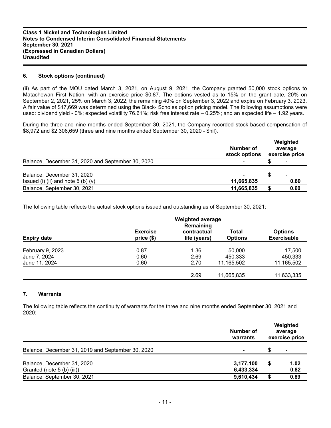## **6. Stock options (continued)**

(ii) As part of the MOU dated March 3, 2021, on August 9, 2021, the Company granted 50,000 stock options to Matachewan First Nation, with an exercise price \$0.87. The options vested as to 15% on the grant date, 20% on September 2, 2021, 25% on March 3, 2022, the remaining 40% on September 3, 2022 and expire on February 3, 2023. A fair value of \$17,669 was determined using the Black- Scholes option pricing model. The following assumptions were used: dividend yield - 0%; expected volatility 76.61%; risk free interest rate – 0.25%; and an expected life – 1.92 years.

During the three and nine months ended September 30, 2021, the Company recorded stock-based compensation of \$8,972 and \$2,306,659 (three and nine months ended September 30, 2020 - \$nil).

|                                                                    | Number of<br>stock options | Weighted<br>average<br>exercise price |
|--------------------------------------------------------------------|----------------------------|---------------------------------------|
| Balance, December 31, 2020 and September 30, 2020                  |                            |                                       |
| Balance, December 31, 2020<br>Issued (i) (ii) and note $5$ (b) (v) | 11,665,835                 | 0.60                                  |
| Balance, September 30, 2021                                        | 11,665,835                 | 0.60                                  |

The following table reflects the actual stock options issued and outstanding as of September 30, 2021:

| <b>Expiry date</b> | <b>Exercise</b><br>price (\$) | contractual<br>life (years) | <b>Total</b><br><b>Options</b> | <b>Options</b><br><b>Exercisable</b> |
|--------------------|-------------------------------|-----------------------------|--------------------------------|--------------------------------------|
| February 9, 2023   | 0.87                          | 1.36                        | 50,000                         | 17,500                               |
| June 7, 2024       | 0.60                          | 2.69                        | 450,333                        | 450,333                              |
| June 11, 2024      | 0.60                          | 2.70                        | 11,165,502                     | 11,165,502                           |
|                    |                               | 2.69                        | 11,665,835                     | 11,633,335                           |

# **7. Warrants**

The following table reflects the continuity of warrants for the three and nine months ended September 30, 2021 and 2020:

|                                                   | Number of<br>warrants | Weighted<br>average<br>exercise price |                          |
|---------------------------------------------------|-----------------------|---------------------------------------|--------------------------|
| Balance, December 31, 2019 and September 30, 2020 |                       |                                       | $\overline{\phantom{0}}$ |
| Balance, December 31, 2020                        | 3,177,100             |                                       | 1.02                     |
| Granted (note 5 (b) (iii))                        | 6,433,334             |                                       | 0.82                     |
| Balance, September 30, 2021                       | 9,610,434             |                                       | 0.89                     |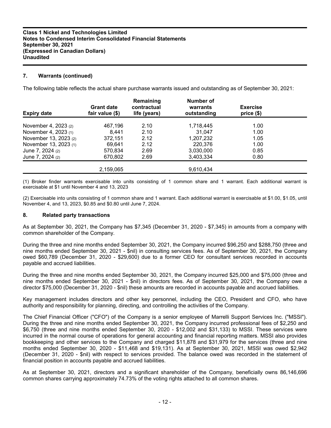# **7. Warrants (continued)**

The following table reflects the actual share purchase warrants issued and outstanding as of September 30, 2021:

| <b>Expiry date</b>    | <b>Grant date</b><br>fair value (\$) | Remaining<br>contractual<br>life (years) | <b>Number of</b><br>warrants<br>outstanding | <b>Exercise</b><br>price(\$) |  |
|-----------------------|--------------------------------------|------------------------------------------|---------------------------------------------|------------------------------|--|
| November 4, 2023 (2)  | 467.196                              | 2.10                                     | 1,718,445                                   | 1.00                         |  |
| November 4, 2023 (1)  | 8.441                                | 2.10                                     | 31.047                                      | 1.00                         |  |
| November 13, 2023 (2) | 372,151                              | 2.12                                     | 1.207.232                                   | 1.05                         |  |
| November 13, 2023 (1) | 69.641                               | 2.12                                     | 220,376                                     | 1.00                         |  |
| June 7, 2024 (2)      | 570.834                              | 2.69                                     | 3,030,000                                   | 0.85                         |  |
| June 7, 2024 (2)      | 670.802                              | 2.69                                     | 3,403,334                                   | 0.80                         |  |
|                       | 2,159,065                            |                                          | 9,610,434                                   |                              |  |

(1) Broker finder warrants exercisable into units consisting of 1 common share and 1 warrant. Each additional warrant is exercisable at \$1 until November 4 and 13, 2023

(2) Exercisable into units consisting of 1 common share and 1 warrant. Each additional warrant is exercisable at \$1.00, \$1.05, until November 4, and 13, 2023, \$0.85 and \$0.80 until June 7, 2024.

## **8. Related party transactions**

As at September 30, 2021, the Company has \$7,345 (December 31, 2020 - \$7,345) in amounts from a company with common shareholder of the Company.

During the three and nine months ended September 30, 2021, the Company incurred \$96,250 and \$288,750 (three and nine months ended September 30, 2021 - \$nil) in consulting services fees. As of September 30, 2021, the Company owed \$60,789 (December 31, 2020 - \$29,600) due to a former CEO for consultant services recorded in accounts payable and accrued liabilities.

During the three and nine months ended September 30, 2021, the Company incurred \$25,000 and \$75,000 (three and nine months ended September 30, 2021 - \$nil) in directors fees. As of September 30, 2021, the Company owe a director \$75,000 (December 31, 2020 - \$nil) these amounts are recorded in accounts payable and accrued liabilities.

Key management includes directors and other key personnel, including the CEO, President and CFO, who have authority and responsibility for planning, directing, and controlling the activities of the Company.

The Chief Financial Officer ("CFO") of the Company is a senior employee of Marrelli Support Services Inc. ("MSSI"). During the three and nine months ended September 30, 2021, the Company incurred professional fees of \$2,250 and \$6,750 (three and nine months ended September 30, 2020 - \$12,002 and \$31,133) to MSSI. These services were incurred in the normal course of operations for general accounting and financial reporting matters. MSSI also provides bookkeeping and other services to the Company and charged \$11,878 and \$31,979 for the services (three and nine months ended September 30, 2020 - \$11,468 and \$19,131). As at September 30, 2021, MSSI was owed \$2,942 (December 31, 2020 - \$nil) with respect to services provided. The balance owed was recorded in the statement of financial position in accounts payable and accrued liabilities.

As at September 30, 2021, directors and a significant shareholder of the Company, beneficially owns 86,146,696 common shares carrying approximately 74.73% of the voting rights attached to all common shares.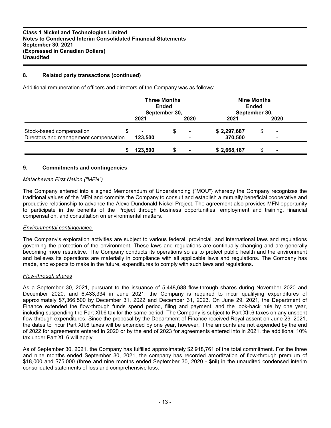# **8. Related party transactions (continued)**

Additional remuneration of officers and directors of the Company was as follows:

|                                       | <b>Three Months</b><br><b>Ended</b><br>September 30, |      | <b>Nine Months</b><br>Ended<br>September 30, |                          |
|---------------------------------------|------------------------------------------------------|------|----------------------------------------------|--------------------------|
|                                       | 2021                                                 | 2020 | 2021                                         | 2020                     |
| Stock-based compensation              |                                                      | \$   | \$2,297,687                                  | $\overline{\phantom{0}}$ |
| Directors and management compensation | 123,500                                              |      | 370,500                                      | -                        |
|                                       | 123.500                                              | \$   | \$2,668,187                                  |                          |

## **9. Commitments and contingencies**

## *Matachewan First Nation ("MFN")*

The Company entered into a signed Memorandum of Understanding ("MOU") whereby the Company recognizes the traditional values of the MFN and commits the Company to consult and establish a mutually beneficial cooperative and productive relationship to advance the Alexo-Dundonald Nickel Project. The agreement also provides MFN opportunity to participate in the benefits of the Project through business opportunities, employment and training, financial compensation, and consultation on environmental matters.

## *Environmental contingencies*

The Company's exploration activities are subject to various federal, provincial, and international laws and regulations governing the protection of the environment. These laws and regulations are continually changing and are generally becoming more restrictive. The Company conducts its operations so as to protect public health and the environment and believes its operations are materially in compliance with all applicable laws and regulations. The Company has made, and expects to make in the future, expenditures to comply with such laws and regulations.

## *Flow-through shares*

As a September 30, 2021, pursuant to the issuance of 5,448,688 flow-through shares during November 2020 and December 2020, and 6,433,334 in June 2021, the Company is required to incur qualifying expenditures of approximately \$7,366,500 by December 31, 2022 and December 31, 2023. On June 29, 2021, the Department of Finance extended the flow-through funds spend period, filing and payment, and the look-back rule by one year, including suspending the Part XII.6 tax for the same period. The Company is subject to Part XII.6 taxes on any unspent flow-through expenditures. Since the proposal by the Department of Finance received Royal assent on June 29, 2021, the dates to incur Part XII.6 taxes will be extended by one year, however, if the amounts are not expended by the end of 2022 for agreements entered in 2020 or by the end of 2023 for agreements entered into in 2021, the additional 10% tax under Part XII.6 will apply.

As of September 30, 2021, the Company has fulfilled approximately \$2,918,761 of the total commitment. For the three and nine months ended September 30, 2021, the company has recorded amortization of flow-through premium of \$18,000 and \$75,000 (three and nine months ended September 30, 2020 - \$nil) in the unaudited condensed interim consolidated statements of loss and comprehensive loss.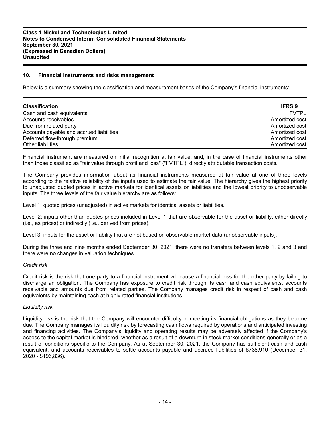## **10. Financial instruments and risks management**

Below is a summary showing the classification and measurement bases of the Company's financial instruments:

| <b>Classification</b>                    | <b>IFRS 9</b>  |
|------------------------------------------|----------------|
| Cash and cash equivalents                | <b>FVTPL</b>   |
| Accounts receivables                     | Amortized cost |
| Due from related party                   | Amortized cost |
| Accounts payable and accrued liabilities | Amortized cost |
| Deferred flow-through premium            | Amortized cost |
| Other liabilities                        | Amortized cost |

Financial instrument are measured on initial recognition at fair value, and, in the case of financial instruments other than those classified as "fair value through profit and loss" ("FVTPL"), directly attributable transaction costs.

The Company provides information about its financial instruments measured at fair value at one of three levels according to the relative reliability of the inputs used to estimate the fair value. The hierarchy gives the highest priority to unadjusted quoted prices in active markets for identical assets or liabilities and the lowest priority to unobservable inputs. The three levels of the fair value hierarchy are as follows:

Level 1: quoted prices (unadjusted) in active markets for identical assets or liabilities.

Level 2: inputs other than quotes prices included in Level 1 that are observable for the asset or liability, either directly (i.e., as prices) or indirectly (i.e., derived from prices).

Level 3: inputs for the asset or liability that are not based on observable market data (unobservable inputs).

During the three and nine months ended September 30, 2021, there were no transfers between levels 1, 2 and 3 and there were no changes in valuation techniques.

#### *Credit risk*

Credit risk is the risk that one party to a financial instrument will cause a financial loss for the other party by failing to discharge an obligation. The Company has exposure to credit risk through its cash and cash equivalents, accounts receivable and amounts due from related parties. The Company manages credit risk in respect of cash and cash equivalents by maintaining cash at highly rated financial institutions.

#### *Liquidity risk*

Liquidity risk is the risk that the Company will encounter difficulty in meeting its financial obligations as they become due. The Company manages its liquidity risk by forecasting cash flows required by operations and anticipated investing and financing activities. The Company's liquidity and operating results may be adversely affected if the Company's access to the capital market is hindered, whether as a result of a downturn in stock market conditions generally or as a result of conditions specific to the Company. As at September 30, 2021, the Company has sufficient cash and cash equivalent, and accounts receivables to settle accounts payable and accrued liabilities of \$738,910 (December 31, 2020 - \$196,836).